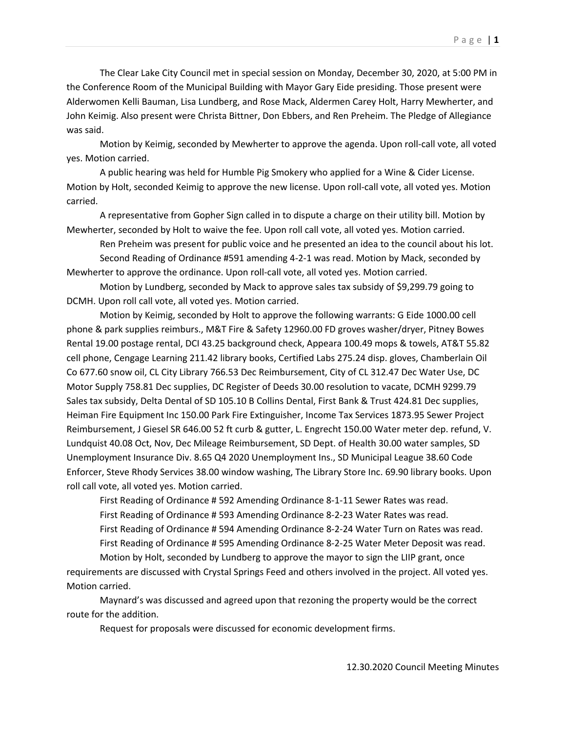The Clear Lake City Council met in special session on Monday, December 30, 2020, at 5:00 PM in the Conference Room of the Municipal Building with Mayor Gary Eide presiding. Those present were Alderwomen Kelli Bauman, Lisa Lundberg, and Rose Mack, Aldermen Carey Holt, Harry Mewherter, and John Keimig. Also present were Christa Bittner, Don Ebbers, and Ren Preheim. The Pledge of Allegiance was said.

Motion by Keimig, seconded by Mewherter to approve the agenda. Upon roll-call vote, all voted yes. Motion carried.

A public hearing was held for Humble Pig Smokery who applied for a Wine & Cider License. Motion by Holt, seconded Keimig to approve the new license. Upon roll-call vote, all voted yes. Motion carried.

A representative from Gopher Sign called in to dispute a charge on their utility bill. Motion by Mewherter, seconded by Holt to waive the fee. Upon roll call vote, all voted yes. Motion carried.

Ren Preheim was present for public voice and he presented an idea to the council about his lot.

Second Reading of Ordinance #591 amending 4-2-1 was read. Motion by Mack, seconded by Mewherter to approve the ordinance. Upon roll-call vote, all voted yes. Motion carried.

Motion by Lundberg, seconded by Mack to approve sales tax subsidy of \$9,299.79 going to DCMH. Upon roll call vote, all voted yes. Motion carried.

 Motion by Keimig, seconded by Holt to approve the following warrants: G Eide 1000.00 cell phone & park supplies reimburs., M&T Fire & Safety 12960.00 FD groves washer/dryer, Pitney Bowes Rental 19.00 postage rental, DCI 43.25 background check, Appeara 100.49 mops & towels, AT&T 55.82 cell phone, Cengage Learning 211.42 library books, Certified Labs 275.24 disp. gloves, Chamberlain Oil Co 677.60 snow oil, CL City Library 766.53 Dec Reimbursement, City of CL 312.47 Dec Water Use, DC Motor Supply 758.81 Dec supplies, DC Register of Deeds 30.00 resolution to vacate, DCMH 9299.79 Sales tax subsidy, Delta Dental of SD 105.10 B Collins Dental, First Bank & Trust 424.81 Dec supplies, Heiman Fire Equipment Inc 150.00 Park Fire Extinguisher, Income Tax Services 1873.95 Sewer Project Reimbursement, J Giesel SR 646.00 52 ft curb & gutter, L. Engrecht 150.00 Water meter dep. refund, V. Lundquist 40.08 Oct, Nov, Dec Mileage Reimbursement, SD Dept. of Health 30.00 water samples, SD Unemployment Insurance Div. 8.65 Q4 2020 Unemployment Ins., SD Municipal League 38.60 Code Enforcer, Steve Rhody Services 38.00 window washing, The Library Store Inc. 69.90 library books. Upon roll call vote, all voted yes. Motion carried.

First Reading of Ordinance # 592 Amending Ordinance 8-1-11 Sewer Rates was read. First Reading of Ordinance # 593 Amending Ordinance 8-2-23 Water Rates was read. First Reading of Ordinance # 594 Amending Ordinance 8-2-24 Water Turn on Rates was read. First Reading of Ordinance # 595 Amending Ordinance 8-2-25 Water Meter Deposit was read.

Motion by Holt, seconded by Lundberg to approve the mayor to sign the LIIP grant, once requirements are discussed with Crystal Springs Feed and others involved in the project. All voted yes. Motion carried.

Maynard's was discussed and agreed upon that rezoning the property would be the correct route for the addition.

Request for proposals were discussed for economic development firms.